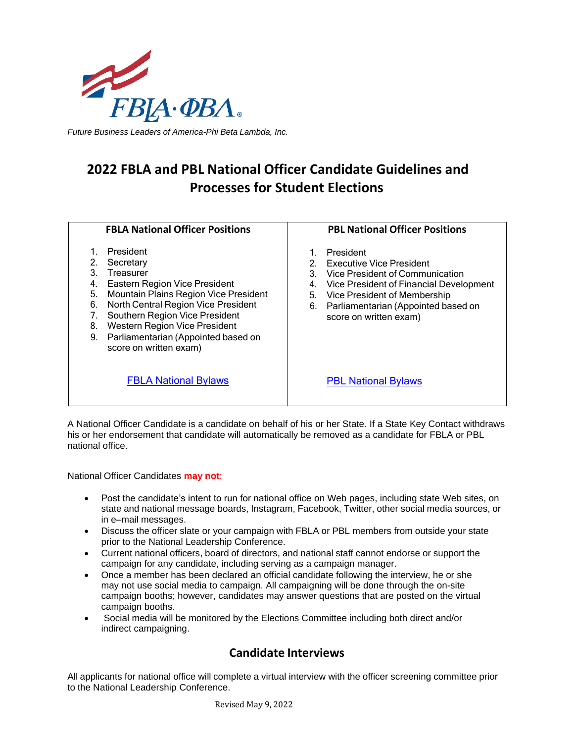

*Future Business Leaders of America-Phi Beta Lambda, Inc.*

# **2022 FBLA and PBL National Officer Candidate Guidelines and Processes for Student Elections**

| <b>FBLA National Officer Positions</b>                                                                                                                                                                                                                                                                                            | <b>PBL National Officer Positions</b>                                                                                                                                                                                                              |
|-----------------------------------------------------------------------------------------------------------------------------------------------------------------------------------------------------------------------------------------------------------------------------------------------------------------------------------|----------------------------------------------------------------------------------------------------------------------------------------------------------------------------------------------------------------------------------------------------|
| President<br>Secretary<br>3<br>Treasurer<br>Eastern Region Vice President<br>4.<br>5.<br>Mountain Plains Region Vice President<br>North Central Region Vice President<br>6.<br>Southern Region Vice President<br>7.<br>8.<br>Western Region Vice President<br>9.<br>Parliamentarian (Appointed based on<br>score on written exam) | President<br>Executive Vice President<br>2.<br>3.<br>Vice President of Communication<br>Vice President of Financial Development<br>4.<br>Vice President of Membership<br>5.<br>Parliamentarian (Appointed based on<br>6.<br>score on written exam) |
| <b>FBLA National Bylaws</b>                                                                                                                                                                                                                                                                                                       | <b>PBL National Bylaws</b>                                                                                                                                                                                                                         |

A National Officer Candidate is a candidate on behalf of his or her State. If a State Key Contact withdraws his or her endorsement that candidate will automatically be removed as a candidate for FBLA or PBL national office.

National Officer Candidates **may not**:

- Post the candidate's intent to run for national office on Web pages, including state Web sites, on state and national message boards, Instagram, Facebook, Twitter, other social media sources, or in e–mail messages.
- Discuss the officer slate or your campaign with FBLA or PBL members from outside your state prior to the National Leadership Conference.
- Current national officers, board of directors, and national staff cannot endorse or support the campaign for any candidate, including serving as a campaign manager.
- Once a member has been declared an official candidate following the interview, he or she may not use social media to campaign. All campaigning will be done through the on-site campaign booths; however, candidates may answer questions that are posted on the virtual campaign booths.
- Social media will be monitored by the Elections Committee including both direct and/or indirect campaigning.

## **Candidate Interviews**

All applicants for national office will complete a virtual interview with the officer screening committee prior to the National Leadership Conference.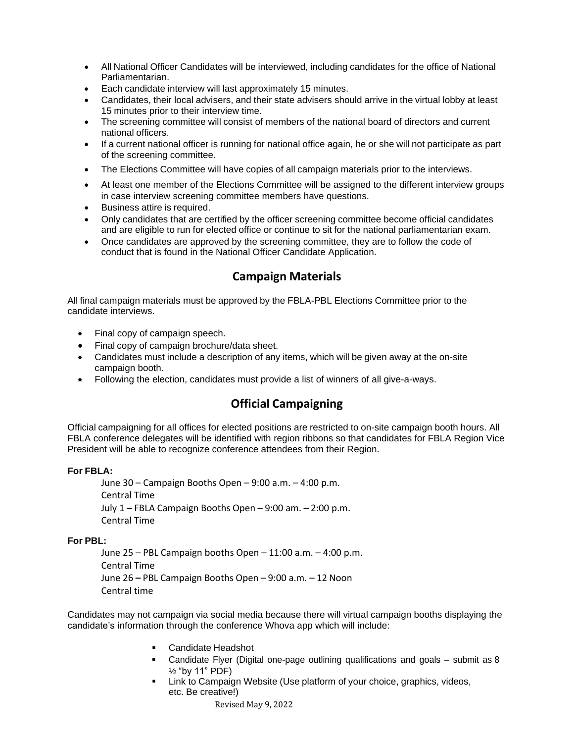- All National Officer Candidates will be interviewed, including candidates for the office of National Parliamentarian.
- Each candidate interview will last approximately 15 minutes.
- Candidates, their local advisers, and their state advisers should arrive in the virtual lobby at least 15 minutes prior to their interview time.
- The screening committee will consist of members of the national board of directors and current national officers.
- If a current national officer is running for national office again, he or she will not participate as part of the screening committee.
- The Elections Committee will have copies of all campaign materials prior to the interviews.
- At least one member of the Elections Committee will be assigned to the different interview groups in case interview screening committee members have questions.
- Business attire is required.
- Only candidates that are certified by the officer screening committee become official candidates and are eligible to run for elected office or continue to sit for the national parliamentarian exam.
- Once candidates are approved by the screening committee, they are to follow the code of conduct that is found in the National Officer Candidate Application.

### **Campaign Materials**

All final campaign materials must be approved by the FBLA-PBL Elections Committee prior to the candidate interviews.

- Final copy of campaign speech.
- Final copy of campaign brochure/data sheet.
- Candidates must include a description of any items, which will be given away at the on-site campaign booth.
- Following the election, candidates must provide a list of winners of all give-a-ways.

## **Official Campaigning**

Official campaigning for all offices for elected positions are restricted to on-site campaign booth hours. All FBLA conference delegates will be identified with region ribbons so that candidates for FBLA Region Vice President will be able to recognize conference attendees from their Region.

#### **For FBLA:**

June 30 – Campaign Booths Open – 9:00 a.m. – 4:00 p.m. Central Time July 1 **–** FBLA Campaign Booths Open – 9:00 am. – 2:00 p.m. Central Time

#### **For PBL:**

June 25 – PBL Campaign booths Open – 11:00 a.m. – 4:00 p.m. Central Time June 26 **–** PBL Campaign Booths Open – 9:00 a.m. – 12 Noon Central time

Candidates may not campaign via social media because there will virtual campaign booths displaying the candidate's information through the conference Whova app which will include:

- Candidate Headshot
- Candidate Flyer (Digital one-page outlining qualifications and goals submit as 8 ½ "by 11" PDF)
- Link to Campaign Website (Use platform of your choice, graphics, videos, etc. Be creative!)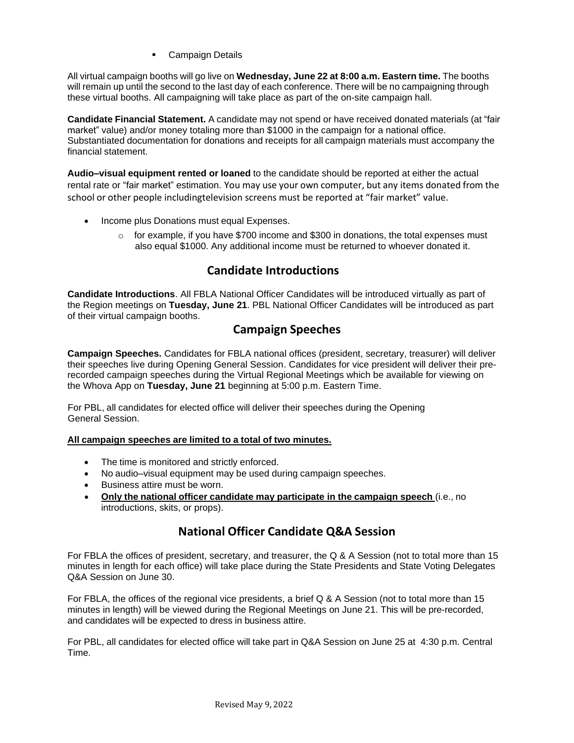**Campaign Details** 

All virtual campaign booths will go live on **Wednesday, June 22 at 8:00 a.m. Eastern time.** The booths will remain up until the second to the last day of each conference. There will be no campaigning through these virtual booths. All campaigning will take place as part of the on-site campaign hall.

**Candidate Financial Statement.** A candidate may not spend or have received donated materials (at "fair market" value) and/or money totaling more than \$1000 in the campaign for a national office. Substantiated documentation for donations and receipts for all campaign materials must accompany the financial statement.

**Audio–visual equipment rented or loaned** to the candidate should be reported at either the actual rental rate or "fair market" estimation. You may use your own computer, but any items donated from the school or other people includingtelevision screens must be reported at "fair market" value.

- Income plus Donations must equal Expenses.
	- $\circ$  for example, if you have \$700 income and \$300 in donations, the total expenses must also equal \$1000. Any additional income must be returned to whoever donated it.

## **Candidate Introductions**

**Candidate Introductions**. All FBLA National Officer Candidates will be introduced virtually as part of the Region meetings on **Tuesday, June 21**. PBL National Officer Candidates will be introduced as part of their virtual campaign booths.

## **Campaign Speeches**

**Campaign Speeches.** Candidates for FBLA national offices (president, secretary, treasurer) will deliver their speeches live during Opening General Session. Candidates for vice president will deliver their prerecorded campaign speeches during the Virtual Regional Meetings which be available for viewing on the Whova App on **Tuesday, June 21** beginning at 5:00 p.m. Eastern Time.

For PBL, all candidates for elected office will deliver their speeches during the Opening General Session.

#### **All campaign speeches are limited to a total of two minutes.**

- The time is monitored and strictly enforced.
- No audio–visual equipment may be used during campaign speeches.
- Business attire must be worn.
- **Only the national officer candidate may participate in the campaign speech** (i.e., no introductions, skits, or props).

## **National Officer Candidate Q&A Session**

For FBLA the offices of president, secretary, and treasurer, the Q & A Session (not to total more than 15 minutes in length for each office) will take place during the State Presidents and State Voting Delegates Q&A Session on June 30.

For FBLA, the offices of the regional vice presidents, a brief Q & A Session (not to total more than 15 minutes in length) will be viewed during the Regional Meetings on June 21. This will be pre-recorded, and candidates will be expected to dress in business attire.

For PBL, all candidates for elected office will take part in Q&A Session on June 25 at 4:30 p.m. Central Time.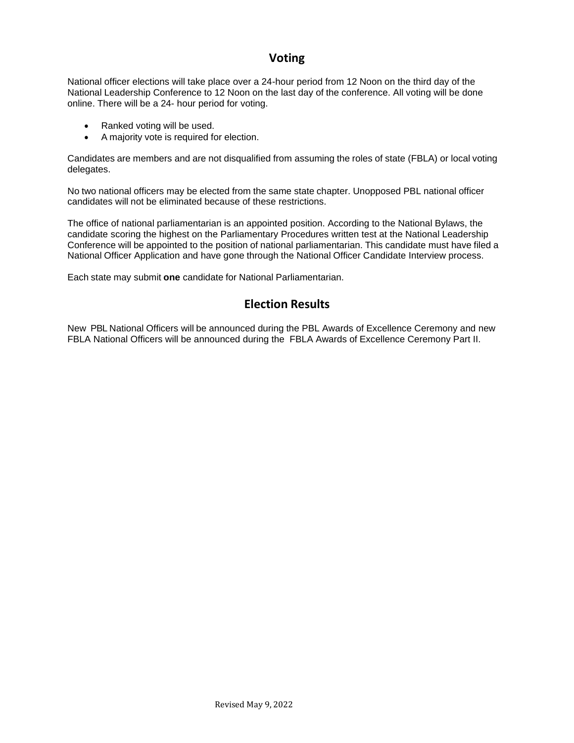## **Voting**

National officer elections will take place over a 24-hour period from 12 Noon on the third day of the National Leadership Conference to 12 Noon on the last day of the conference. All voting will be done online. There will be a 24- hour period for voting.

- Ranked voting will be used.
- A majority vote is required for election.

Candidates are members and are not disqualified from assuming the roles of state (FBLA) or local voting delegates.

No two national officers may be elected from the same state chapter. Unopposed PBL national officer candidates will not be eliminated because of these restrictions.

The office of national parliamentarian is an appointed position. According to the National Bylaws, the candidate scoring the highest on the Parliamentary Procedures written test at the National Leadership Conference will be appointed to the position of national parliamentarian. This candidate must have filed a National Officer Application and have gone through the National Officer Candidate Interview process.

Each state may submit **one** candidate for National Parliamentarian.

## **Election Results**

New PBL National Officers will be announced during the PBL Awards of Excellence Ceremony and new FBLA National Officers will be announced during the FBLA Awards of Excellence Ceremony Part II.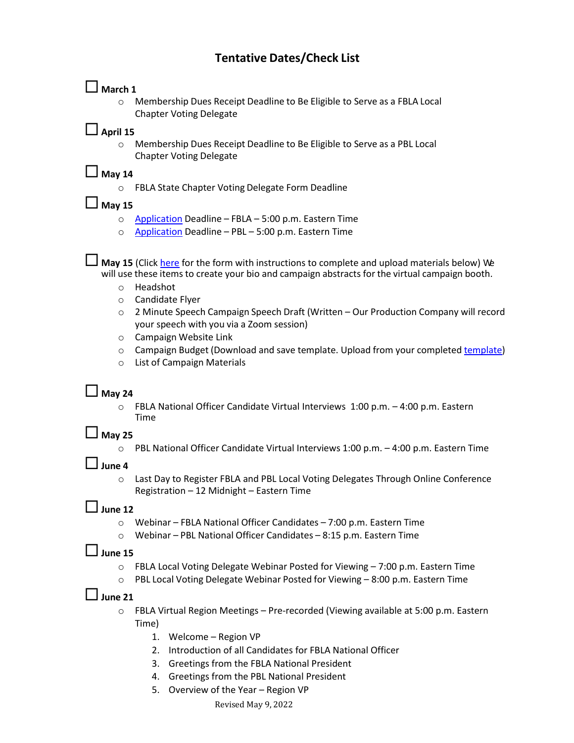## **Tentative Dates/Check List**

## **March 1**

o Membership Dues Receipt Deadline to Be Eligible to Serve as a FBLA Local Chapter Voting Delegate

## $\Box$  April 15

o Membership Dues Receipt Deadline to Be Eligible to Serve as a PBL Local Chapter Voting Delegate

### **May <sup>14</sup>**

o FBLA State Chapter Voting Delegate Form Deadline

**May <sup>15</sup>**

- o [Application](https://fblapbl.wufoo.com/forms/202122-fbla-national-officer-application/) Deadline FBLA 5:00 p.m. Eastern Time
- o [Application](https://fblapbl.wufoo.com/forms/202122-pbl-national-officer-application/) Deadline PBL 5:00 p.m. Eastern Time

**May 15** (Click [here](https://fblapbl.wufoo.com/forms/national-officer-candidate-campaign-materials-form/) for the form with instructions to complete and upload materials below) We will use these items to create your bio and campaign abstracts for the virtual campaign booth.

- o Headshot
- o Candidate Flyer
- o 2 Minute Speech Campaign Speech Draft (Written Our Production Company will record your speech with you via a Zoom session)
- o Campaign Website Link
- o Campaign Budget (Download and save template. Upload from your completed [template\)](https://docs.google.com/document/d/1ET-LjCtNVCG_O-GTF_vvYVVWM1vbfcpFIKNklcbAd14/edit)
- o List of Campaign Materials

## **May 24**

 $\circ$  FBLA National Officer Candidate Virtual Interviews 1:00 p.m.  $-4:00$  p.m. Eastern Time

### **May 25**

o PBL National Officer Candidate Virtual Interviews 1:00 p.m. – 4:00 p.m. Eastern Time

### **June <sup>4</sup>**

o Last Day to Register FBLA and PBL Local Voting Delegates Through Online Conference Registration – 12 Midnight – Eastern Time

### **June <sup>12</sup>**

- o Webinar FBLA National Officer Candidates 7:00 p.m. Eastern Time
- o Webinar PBL National Officer Candidates 8:15 p.m. Eastern Time

### **June <sup>15</sup>**

- $\circ$  FBLA Local Voting Delegate Webinar Posted for Viewing  $-7:00$  p.m. Eastern Time
- o PBL Local Voting Delegate Webinar Posted for Viewing 8:00 p.m. Eastern Time

### **June <sup>21</sup>**

- o FBLA Virtual Region Meetings Pre-recorded (Viewing available at 5:00 p.m. Eastern Time)
	- 1. Welcome Region VP
	- 2. Introduction of all Candidates for FBLA National Officer
	- 3. Greetings from the FBLA National President
	- 4. Greetings from the PBL National President
	- 5. Overview of the Year Region VP

#### Revised May 9, 2022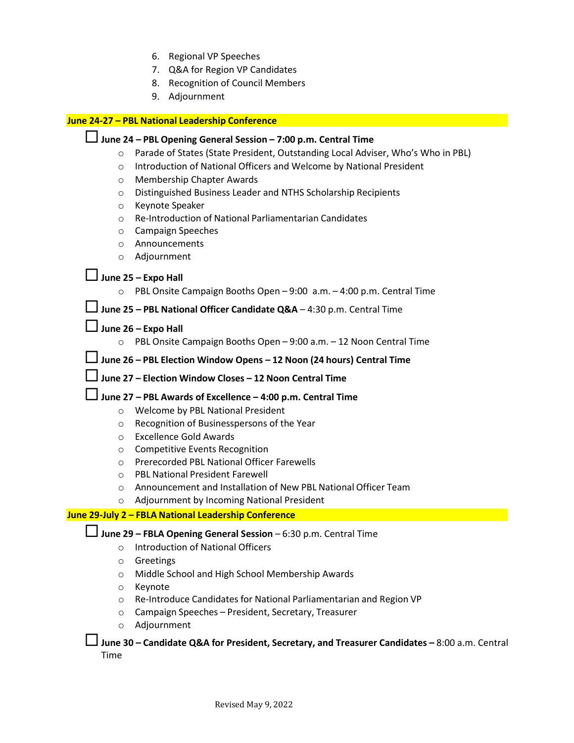- 6. Regional VP Speeches
- 7. Q&A for Region VP Candidates
- 8. Recognition of Council Members
- 9. Adjournment

#### **June 24-27 – PBL National Leadership Conference**

### **June <sup>24</sup> – PBL Opening General Session – 7:00 p.m. Central Time**

- o Parade of States (State President, Outstanding Local Adviser, Who's Who in PBL)
- o Introduction of National Officers and Welcome by National President
- o Membership Chapter Awards
- o Distinguished Business Leader and NTHS Scholarship Recipients
- o Keynote Speaker
- o Re-Introduction of National Parliamentarian Candidates
- o Campaign Speeches
- o Announcements
- o Adjournment

### **June <sup>25</sup> – Expo Hall**

o PBL Onsite Campaign Booths Open – 9:00 a.m. – 4:00 p.m. Central Time

**June <sup>25</sup>– PBL National Officer Candidate Q&A** – 4:30 p.m. Central Time

### $\Box$  June 26 – **Expo Hall**

o PBL Onsite Campaign Booths Open – 9:00 a.m. – 12 Noon Central Time

### **June <sup>26</sup> – PBL Election Window Opens – <sup>12</sup> Noon (24 hours) Central Time**

**June <sup>27</sup> – Election Window Closes – <sup>12</sup> Noon Central Time**

#### **June <sup>27</sup>– PBL Awards of Excellence – 4:00 p.m. Central Time**

- o Welcome by PBL National President
- o Recognition of Businesspersons of the Year
- o Excellence Gold Awards
- o Competitive Events Recognition
- o Prerecorded PBL National Officer Farewells
- o PBL National President Farewell
- o Announcement and Installation of New PBL National Officer Team
- o Adjournment by Incoming National President

#### **June 29-July 2 – FBLA National Leadership Conference**

**June <sup>29</sup> – FBLA Opening General Session** – 6:30 p.m. Central Time

- o Introduction of National Officers
- o Greetings
- o Middle School and High School Membership Awards
- o Keynote
- o Re-Introduce Candidates for National Parliamentarian and Region VP
- o Campaign Speeches President, Secretary, Treasurer
- o Adjournment

**June <sup>30</sup> – Candidate Q&A for President, Secretary, and Treasurer Candidates –** 8:00 a.m. Central Time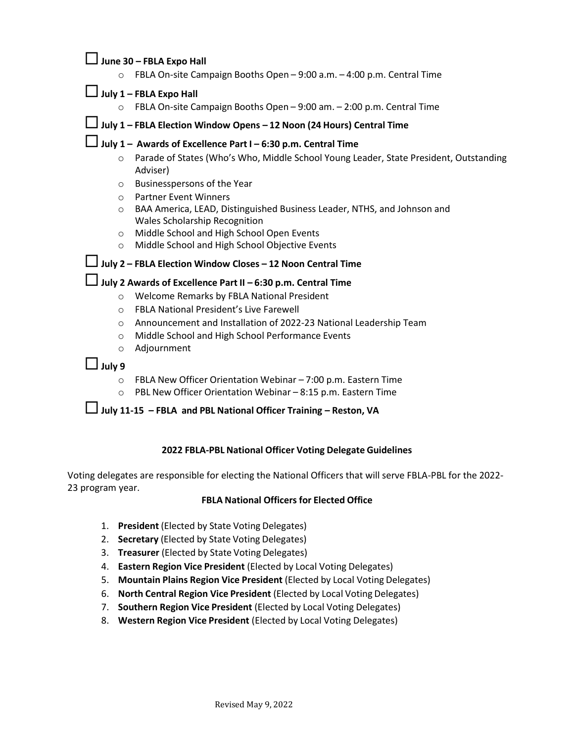### **June <sup>30</sup>– FBLA Expo Hall**

o FBLA On-site Campaign Booths Open – 9:00 a.m. – 4:00 p.m. Central Time

#### **July <sup>1</sup> – FBLA Expo Hall**

o FBLA On-site Campaign Booths Open – 9:00 am. – 2:00 p.m. Central Time

## **July <sup>1</sup> – FBLA Election Window Opens – <sup>12</sup> Noon (24 Hours) Central Time**

## **July <sup>1</sup> – Awards of Excellence Part <sup>I</sup> – 6:30 p.m. Central Time**

- o Parade of States (Who's Who, Middle School Young Leader, State President, Outstanding Adviser)
- o Businesspersons of the Year
- o Partner Event Winners
- o BAA America, LEAD, Distinguished Business Leader, NTHS, and Johnson and Wales Scholarship Recognition
- o Middle School and High School Open Events
- o Middle School and High School Objective Events

### **July <sup>2</sup> – FBLA Election Window Closes – <sup>12</sup> Noon Central Time**

## **July <sup>2</sup> Awards of Excellence Part II – 6:30 p.m. Central Time**

- o Welcome Remarks by FBLA National President
- o FBLA National President's Live Farewell
- o Announcement and Installation of 2022-23 National Leadership Team
- o Middle School and High School Performance Events
- o Adjournment

### **July <sup>9</sup>**

- o FBLA New Officer Orientation Webinar 7:00 p.m. Eastern Time
- o PBL New Officer Orientation Webinar 8:15 p.m. Eastern Time

**July 11-15 – FBLA and PBL National Officer Training – Reston, VA**

#### **2022 FBLA-PBL National Officer Voting Delegate Guidelines**

Voting delegates are responsible for electing the National Officers that will serve FBLA-PBL for the 2022- 23 program year.

#### **FBLA National Officers for Elected Office**

- 1. **President** (Elected by State Voting Delegates)
- 2. **Secretary** (Elected by State Voting Delegates)
- 3. **Treasurer** (Elected by State Voting Delegates)
- 4. **Eastern Region Vice President** (Elected by Local Voting Delegates)
- 5. **Mountain Plains Region Vice President** (Elected by Local Voting Delegates)
- 6. **North Central Region Vice President** (Elected by Local Voting Delegates)
- 7. **Southern Region Vice President** (Elected by Local Voting Delegates)
- 8. **Western Region Vice President** (Elected by Local Voting Delegates)